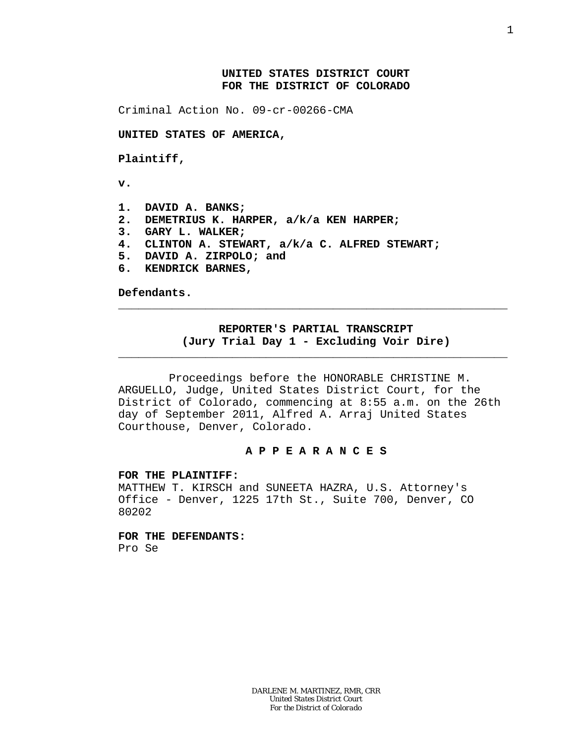## **UNITED STATES DISTRICT COURT FOR THE DISTRICT OF COLORADO**

Criminal Action No. 09-cr-00266-CMA

**UNITED STATES OF AMERICA,**

**Plaintiff,**

**v.**

- **1. DAVID A. BANKS;**
- **2. DEMETRIUS K. HARPER, a/k/a KEN HARPER;**
- **3. GARY L. WALKER;**
- **4. CLINTON A. STEWART, a/k/a C. ALFRED STEWART;**
- **5. DAVID A. ZIRPOLO; and**
- **6. KENDRICK BARNES,**

**Defendants.**

## **REPORTER'S PARTIAL TRANSCRIPT (Jury Trial Day 1 - Excluding Voir Dire)**

\_\_\_\_\_\_\_\_\_\_\_\_\_\_\_\_\_\_\_\_\_\_\_\_\_\_\_\_\_\_\_\_\_\_\_\_\_\_\_\_\_\_\_\_\_\_\_\_\_\_\_\_\_\_\_\_\_\_

\_\_\_\_\_\_\_\_\_\_\_\_\_\_\_\_\_\_\_\_\_\_\_\_\_\_\_\_\_\_\_\_\_\_\_\_\_\_\_\_\_\_\_\_\_\_\_\_\_\_\_\_\_\_\_\_\_\_

Proceedings before the HONORABLE CHRISTINE M. ARGUELLO, Judge, United States District Court, for the District of Colorado, commencing at 8:55 a.m. on the 26th day of September 2011, Alfred A. Arraj United States Courthouse, Denver, Colorado.

## **A P P E A R A N C E S**

**FOR THE PLAINTIFF:**

MATTHEW T. KIRSCH and SUNEETA HAZRA, U.S. Attorney's Office - Denver, 1225 17th St., Suite 700, Denver, CO 80202

**FOR THE DEFENDANTS:** Pro Se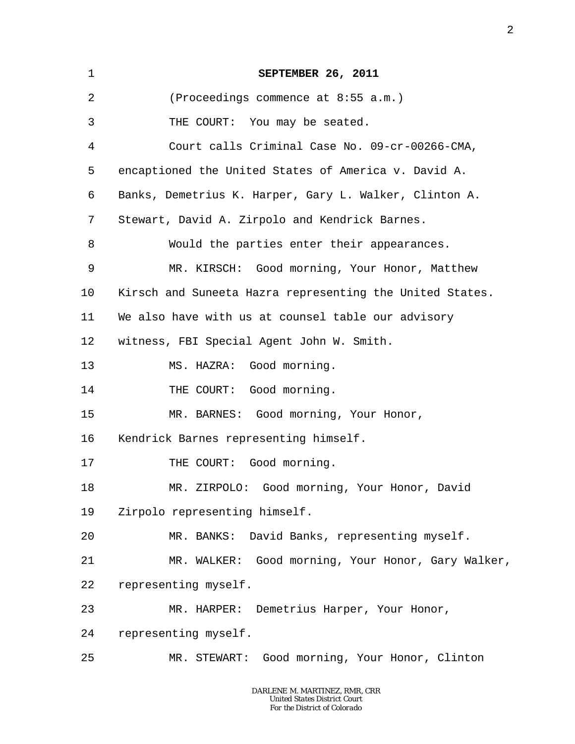| $\mathbf 1$ | SEPTEMBER 26, 2011                                       |
|-------------|----------------------------------------------------------|
| 2           | (Proceedings commence at 8:55 a.m.)                      |
| 3           | THE COURT: You may be seated.                            |
| 4           | Court calls Criminal Case No. 09-cr-00266-CMA,           |
| 5           | encaptioned the United States of America v. David A.     |
| 6           | Banks, Demetrius K. Harper, Gary L. Walker, Clinton A.   |
| 7           | Stewart, David A. Zirpolo and Kendrick Barnes.           |
| 8           | Would the parties enter their appearances.               |
| 9           | MR. KIRSCH: Good morning, Your Honor, Matthew            |
| 10          | Kirsch and Suneeta Hazra representing the United States. |
| 11          | We also have with us at counsel table our advisory       |
| 12          | witness, FBI Special Agent John W. Smith.                |
| 13          | MS. HAZRA: Good morning.                                 |
| 14          | THE COURT: Good morning.                                 |
| 15          | MR. BARNES: Good morning, Your Honor,                    |
| 16          | Kendrick Barnes representing himself.                    |
| 17          | THE COURT: Good morning.                                 |
| 18          | MR. ZIRPOLO: Good morning, Your Honor, David             |
| 19          | Zirpolo representing himself.                            |
| 20          | MR. BANKS: David Banks, representing myself.             |
| 21          | MR. WALKER: Good morning, Your Honor, Gary Walker,       |
| 22          | representing myself.                                     |
| 23          | MR. HARPER: Demetrius Harper, Your Honor,                |
| 24          | representing myself.                                     |
| 25          | MR. STEWART: Good morning, Your Honor, Clinton           |

2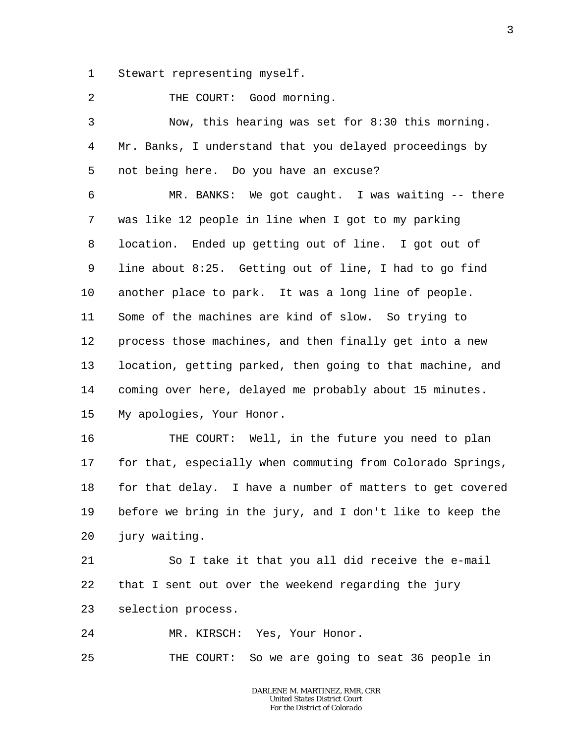1 Stewart representing myself.

2 THE COURT: Good morning.

3 4 5 Now, this hearing was set for 8:30 this morning. Mr. Banks, I understand that you delayed proceedings by not being here. Do you have an excuse?

6 7 8 9 10 11 12 13 14 15 MR. BANKS: We got caught. I was waiting -- there was like 12 people in line when I got to my parking location. Ended up getting out of line. I got out of line about 8:25. Getting out of line, I had to go find another place to park. It was a long line of people. Some of the machines are kind of slow. So trying to process those machines, and then finally get into a new location, getting parked, then going to that machine, and coming over here, delayed me probably about 15 minutes. My apologies, Your Honor.

16 17 18 19 20 THE COURT: Well, in the future you need to plan for that, especially when commuting from Colorado Springs, for that delay. I have a number of matters to get covered before we bring in the jury, and I don't like to keep the jury waiting.

21 22 23 So I take it that you all did receive the e-mail that I sent out over the weekend regarding the jury selection process.

24 MR. KIRSCH: Yes, Your Honor.

25 THE COURT: So we are going to seat 36 people in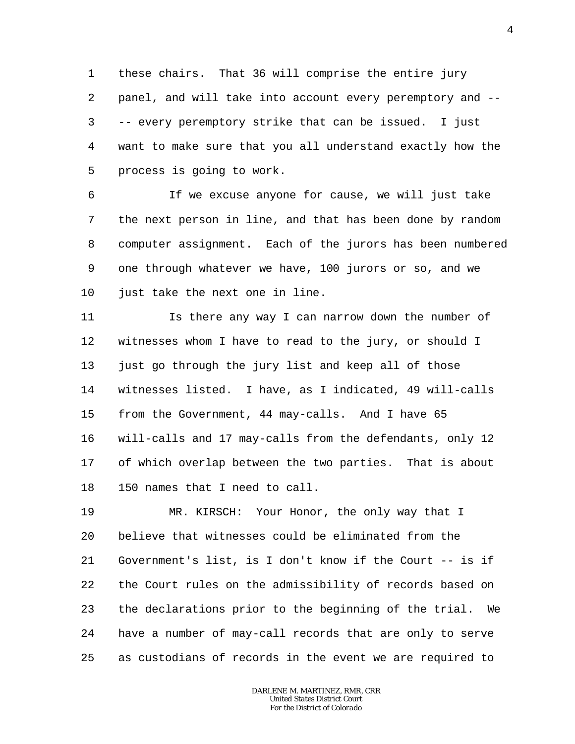1 2 3 4 5 these chairs. That 36 will comprise the entire jury panel, and will take into account every peremptory and -- -- every peremptory strike that can be issued. I just want to make sure that you all understand exactly how the process is going to work.

6 7 8 9 10 If we excuse anyone for cause, we will just take the next person in line, and that has been done by random computer assignment. Each of the jurors has been numbered one through whatever we have, 100 jurors or so, and we just take the next one in line.

11 12 13 14 15 16 17 18 Is there any way I can narrow down the number of witnesses whom I have to read to the jury, or should I just go through the jury list and keep all of those witnesses listed. I have, as I indicated, 49 will-calls from the Government, 44 may-calls. And I have 65 will-calls and 17 may-calls from the defendants, only 12 of which overlap between the two parties. That is about 150 names that I need to call.

19 20 21 22 23 24 25 MR. KIRSCH: Your Honor, the only way that I believe that witnesses could be eliminated from the Government's list, is I don't know if the Court -- is if the Court rules on the admissibility of records based on the declarations prior to the beginning of the trial. We have a number of may-call records that are only to serve as custodians of records in the event we are required to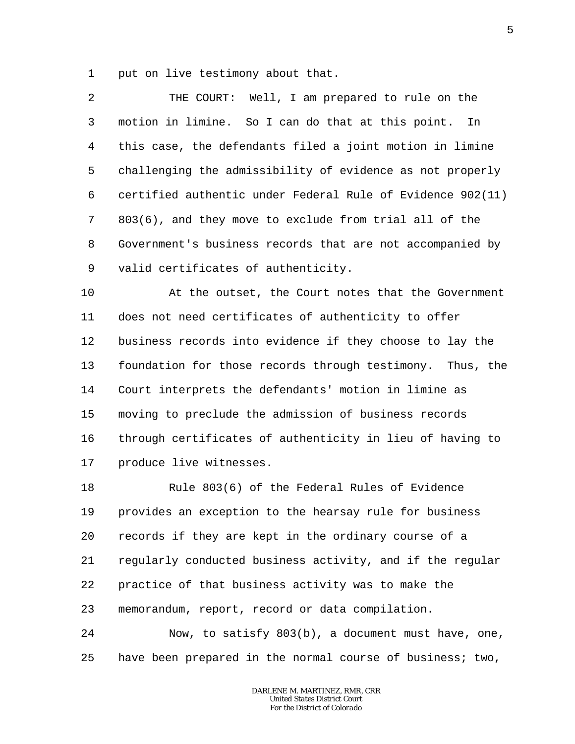1 put on live testimony about that.

2 3 4 5 6 7 8 9 THE COURT: Well, I am prepared to rule on the motion in limine. So I can do that at this point. In this case, the defendants filed a joint motion in limine challenging the admissibility of evidence as not properly certified authentic under Federal Rule of Evidence 902(11) 803(6), and they move to exclude from trial all of the Government's business records that are not accompanied by valid certificates of authenticity.

10 11 12 13 14 15 16 17 At the outset, the Court notes that the Government does not need certificates of authenticity to offer business records into evidence if they choose to lay the foundation for those records through testimony. Thus, the Court interprets the defendants' motion in limine as moving to preclude the admission of business records through certificates of authenticity in lieu of having to produce live witnesses.

18 19 20 21 22 23 Rule 803(6) of the Federal Rules of Evidence provides an exception to the hearsay rule for business records if they are kept in the ordinary course of a regularly conducted business activity, and if the regular practice of that business activity was to make the memorandum, report, record or data compilation.

24 25 Now, to satisfy 803(b), a document must have, one, have been prepared in the normal course of business; two,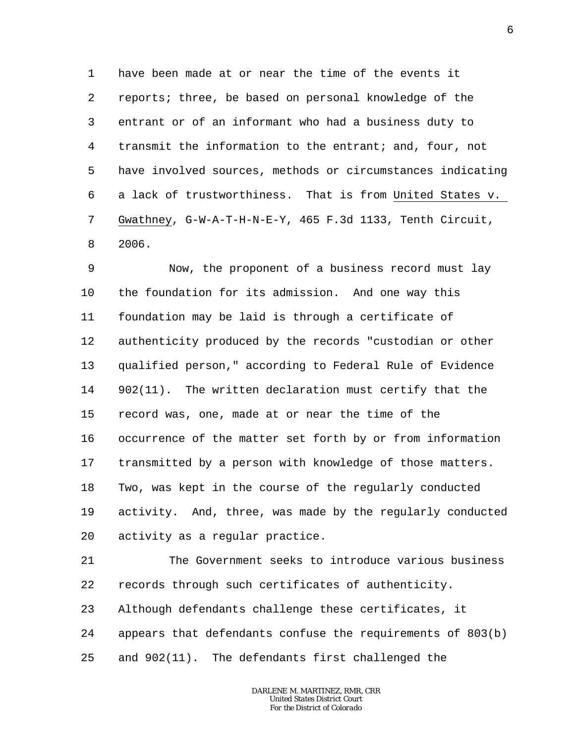1 2 3 4 5 6 7 8 have been made at or near the time of the events it reports; three, be based on personal knowledge of the entrant or of an informant who had a business duty to transmit the information to the entrant; and, four, not have involved sources, methods or circumstances indicating a lack of trustworthiness. That is from United States v. Gwathney, G-W-A-T-H-N-E-Y, 465 F.3d 1133, Tenth Circuit, 2006.

9 10 11 12 13 14 15 16 17 18 19 20 Now, the proponent of a business record must lay the foundation for its admission. And one way this foundation may be laid is through a certificate of authenticity produced by the records "custodian or other qualified person," according to Federal Rule of Evidence 902(11). The written declaration must certify that the record was, one, made at or near the time of the occurrence of the matter set forth by or from information transmitted by a person with knowledge of those matters. Two, was kept in the course of the regularly conducted activity. And, three, was made by the regularly conducted activity as a regular practice.

21 22 23 24 25 The Government seeks to introduce various business records through such certificates of authenticity. Although defendants challenge these certificates, it appears that defendants confuse the requirements of 803(b) and 902(11). The defendants first challenged the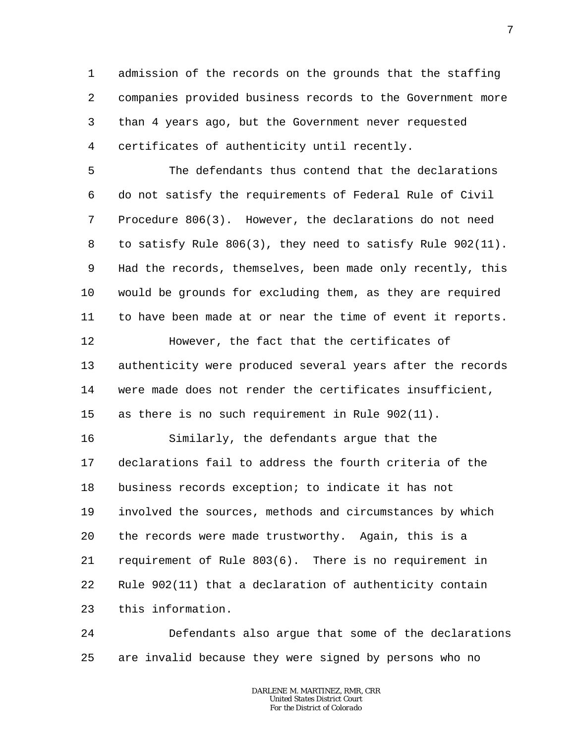1 2 3 4 admission of the records on the grounds that the staffing companies provided business records to the Government more than 4 years ago, but the Government never requested certificates of authenticity until recently.

5 6 7 8 9 10 11 The defendants thus contend that the declarations do not satisfy the requirements of Federal Rule of Civil Procedure 806(3). However, the declarations do not need to satisfy Rule 806(3), they need to satisfy Rule 902(11). Had the records, themselves, been made only recently, this would be grounds for excluding them, as they are required to have been made at or near the time of event it reports.

13 14 15 authenticity were produced several years after the records were made does not render the certificates insufficient, as there is no such requirement in Rule 902(11).

However, the fact that the certificates of

12

16 17 18 19 20 21 22 23 Similarly, the defendants argue that the declarations fail to address the fourth criteria of the business records exception; to indicate it has not involved the sources, methods and circumstances by which the records were made trustworthy. Again, this is a requirement of Rule 803(6). There is no requirement in Rule 902(11) that a declaration of authenticity contain this information.

24 25 Defendants also argue that some of the declarations are invalid because they were signed by persons who no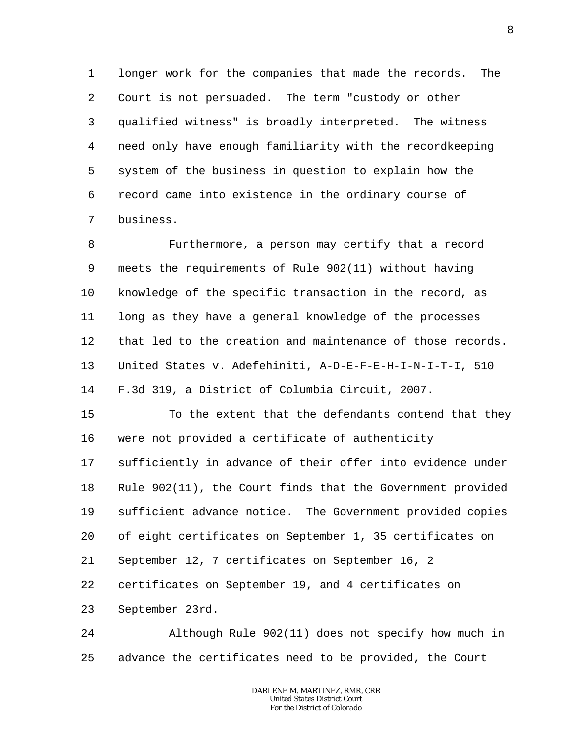1 2 3 4 5 6 7 longer work for the companies that made the records. The Court is not persuaded. The term "custody or other qualified witness" is broadly interpreted. The witness need only have enough familiarity with the recordkeeping system of the business in question to explain how the record came into existence in the ordinary course of business.

8 9 10 11 12 13 14 Furthermore, a person may certify that a record meets the requirements of Rule 902(11) without having knowledge of the specific transaction in the record, as long as they have a general knowledge of the processes that led to the creation and maintenance of those records. United States v. Adefehiniti, A-D-E-F-E-H-I-N-I-T-I, 510 F.3d 319, a District of Columbia Circuit, 2007.

15 16 17 To the extent that the defendants contend that they were not provided a certificate of authenticity sufficiently in advance of their offer into evidence under

18 19 20 Rule 902(11), the Court finds that the Government provided sufficient advance notice. The Government provided copies of eight certificates on September 1, 35 certificates on

21 September 12, 7 certificates on September 16, 2

22 certificates on September 19, and 4 certificates on

23 September 23rd.

24 25 Although Rule 902(11) does not specify how much in advance the certificates need to be provided, the Court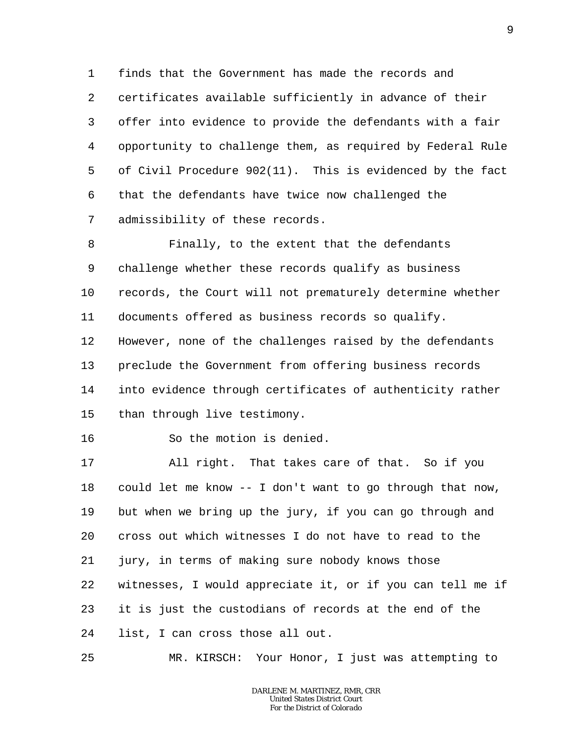1 2 3 4 5 6 7 finds that the Government has made the records and certificates available sufficiently in advance of their offer into evidence to provide the defendants with a fair opportunity to challenge them, as required by Federal Rule of Civil Procedure 902(11). This is evidenced by the fact that the defendants have twice now challenged the admissibility of these records.

8 9 10 11 12 13 14 15 Finally, to the extent that the defendants challenge whether these records qualify as business records, the Court will not prematurely determine whether documents offered as business records so qualify. However, none of the challenges raised by the defendants preclude the Government from offering business records into evidence through certificates of authenticity rather than through live testimony.

So the motion is denied.

16

17 18 19 20 21 22 23 24 All right. That takes care of that. So if you could let me know -- I don't want to go through that now, but when we bring up the jury, if you can go through and cross out which witnesses I do not have to read to the jury, in terms of making sure nobody knows those witnesses, I would appreciate it, or if you can tell me if it is just the custodians of records at the end of the list, I can cross those all out.

25 MR. KIRSCH: Your Honor, I just was attempting to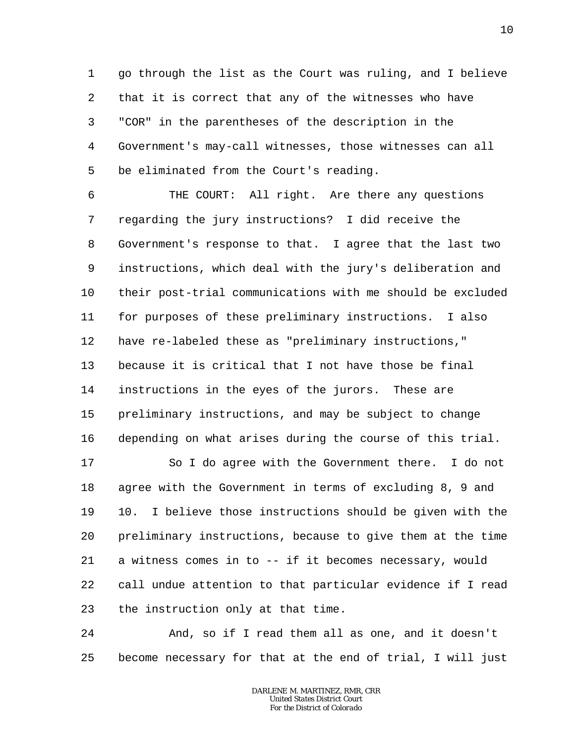1 2 3 4 5 go through the list as the Court was ruling, and I believe that it is correct that any of the witnesses who have "COR" in the parentheses of the description in the Government's may-call witnesses, those witnesses can all be eliminated from the Court's reading.

6 7 8 9 10 11 12 13 14 15 16 THE COURT: All right. Are there any questions regarding the jury instructions? I did receive the Government's response to that. I agree that the last two instructions, which deal with the jury's deliberation and their post-trial communications with me should be excluded for purposes of these preliminary instructions. I also have re-labeled these as "preliminary instructions," because it is critical that I not have those be final instructions in the eyes of the jurors. These are preliminary instructions, and may be subject to change depending on what arises during the course of this trial.

17 18 19 20 21 22 23 So I do agree with the Government there. I do not agree with the Government in terms of excluding 8, 9 and 10. I believe those instructions should be given with the preliminary instructions, because to give them at the time a witness comes in to -- if it becomes necessary, would call undue attention to that particular evidence if I read the instruction only at that time.

24 25 And, so if I read them all as one, and it doesn't become necessary for that at the end of trial, I will just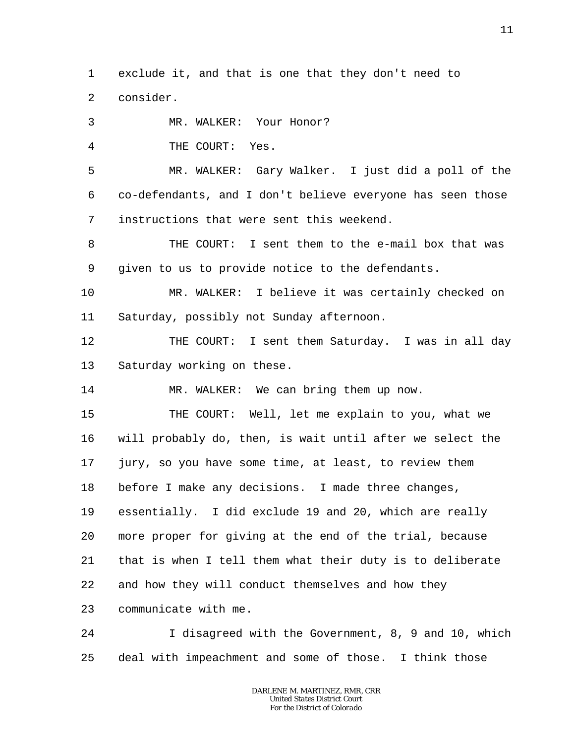1  $\overline{a}$ exclude it, and that is one that they don't need to consider.

3 MR. WALKER: Your Honor?

4 THE COURT: Yes.

5 6 7 MR. WALKER: Gary Walker. I just did a poll of the co-defendants, and I don't believe everyone has seen those instructions that were sent this weekend.

8 9 THE COURT: I sent them to the e-mail box that was given to us to provide notice to the defendants.

10 11 MR. WALKER: I believe it was certainly checked on Saturday, possibly not Sunday afternoon.

12 13 THE COURT: I sent them Saturday. I was in all day Saturday working on these.

14 MR. WALKER: We can bring them up now.

15 16 17 18 19 20 21 22 23 THE COURT: Well, let me explain to you, what we will probably do, then, is wait until after we select the jury, so you have some time, at least, to review them before I make any decisions. I made three changes, essentially. I did exclude 19 and 20, which are really more proper for giving at the end of the trial, because that is when I tell them what their duty is to deliberate and how they will conduct themselves and how they communicate with me.

24 25 I disagreed with the Government, 8, 9 and 10, which deal with impeachment and some of those. I think those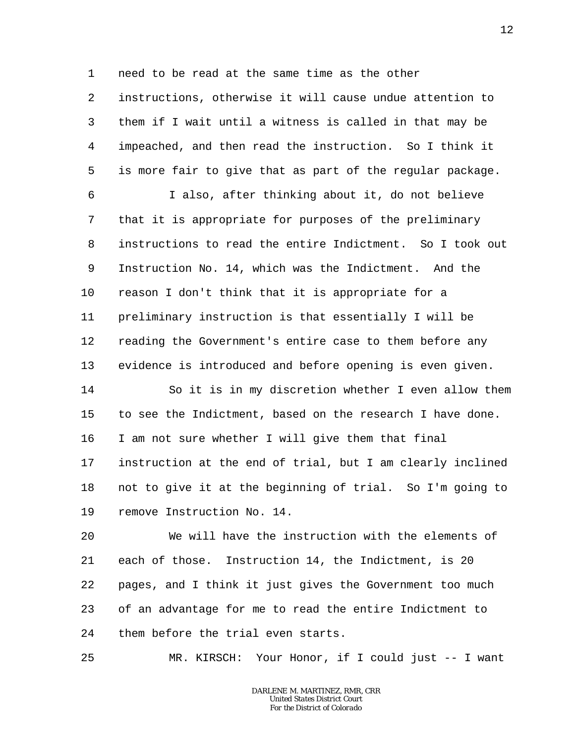1 need to be read at the same time as the other

2 3 4 5 instructions, otherwise it will cause undue attention to them if I wait until a witness is called in that may be impeached, and then read the instruction. So I think it is more fair to give that as part of the regular package.

6 7 8 9 10 11 12 13 I also, after thinking about it, do not believe that it is appropriate for purposes of the preliminary instructions to read the entire Indictment. So I took out Instruction No. 14, which was the Indictment. And the reason I don't think that it is appropriate for a preliminary instruction is that essentially I will be reading the Government's entire case to them before any evidence is introduced and before opening is even given.

14 15 16 17 18 19 So it is in my discretion whether I even allow them to see the Indictment, based on the research I have done. I am not sure whether I will give them that final instruction at the end of trial, but I am clearly inclined not to give it at the beginning of trial. So I'm going to remove Instruction No. 14.

20 21 22 23 24 We will have the instruction with the elements of each of those. Instruction 14, the Indictment, is 20 pages, and I think it just gives the Government too much of an advantage for me to read the entire Indictment to them before the trial even starts.

25 MR. KIRSCH: Your Honor, if I could just -- I want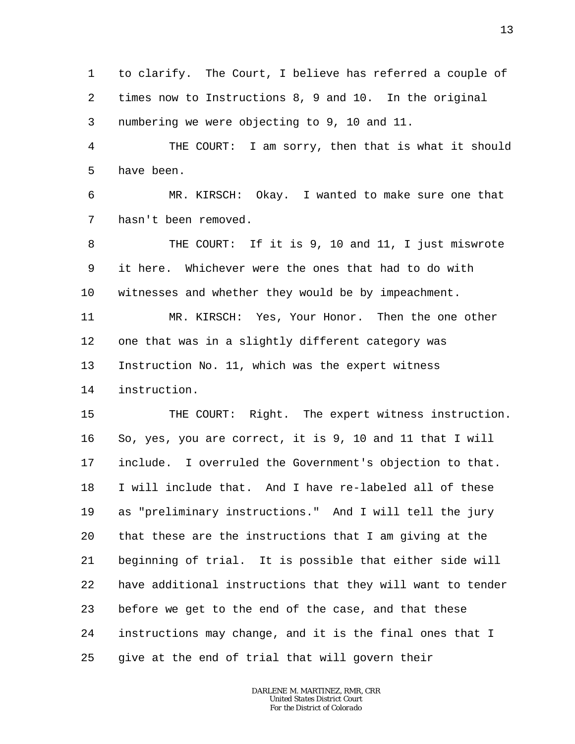1 2 3 to clarify. The Court, I believe has referred a couple of times now to Instructions 8, 9 and 10. In the original numbering we were objecting to 9, 10 and 11.

4 5 THE COURT: I am sorry, then that is what it should have been.

6 7 MR. KIRSCH: Okay. I wanted to make sure one that hasn't been removed.

8 9 10 THE COURT: If it is 9, 10 and 11, I just miswrote it here. Whichever were the ones that had to do with witnesses and whether they would be by impeachment.

11 12 13 14 MR. KIRSCH: Yes, Your Honor. Then the one other one that was in a slightly different category was Instruction No. 11, which was the expert witness instruction.

15 16 17 18 19 20 21 22 23 24 25 THE COURT: Right. The expert witness instruction. So, yes, you are correct, it is 9, 10 and 11 that I will include. I overruled the Government's objection to that. I will include that. And I have re-labeled all of these as "preliminary instructions." And I will tell the jury that these are the instructions that I am giving at the beginning of trial. It is possible that either side will have additional instructions that they will want to tender before we get to the end of the case, and that these instructions may change, and it is the final ones that I give at the end of trial that will govern their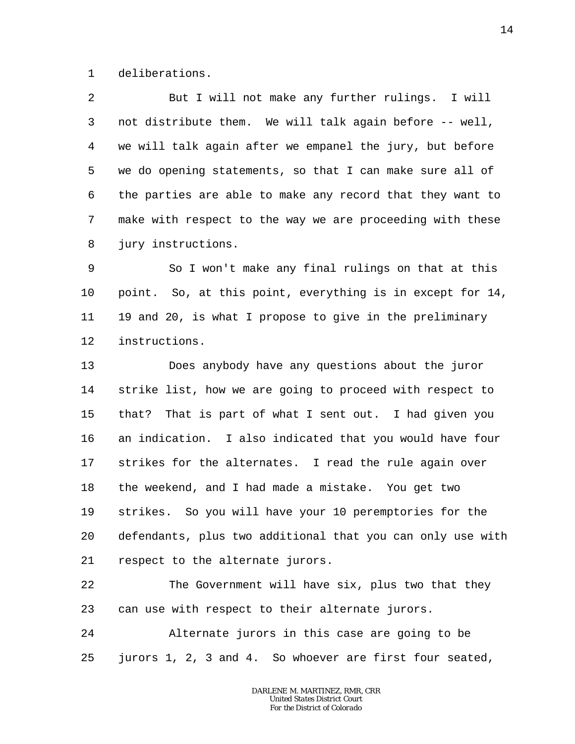1 deliberations.

2 3 4 5 6 7 8 But I will not make any further rulings. I will not distribute them. We will talk again before -- well, we will talk again after we empanel the jury, but before we do opening statements, so that I can make sure all of the parties are able to make any record that they want to make with respect to the way we are proceeding with these jury instructions.

9 10 11 12 So I won't make any final rulings on that at this point. So, at this point, everything is in except for 14, 19 and 20, is what I propose to give in the preliminary instructions.

13 14 15 16 17 18 19 20 21 Does anybody have any questions about the juror strike list, how we are going to proceed with respect to that? That is part of what I sent out. I had given you an indication. I also indicated that you would have four strikes for the alternates. I read the rule again over the weekend, and I had made a mistake. You get two strikes. So you will have your 10 peremptories for the defendants, plus two additional that you can only use with respect to the alternate jurors.

22 23 The Government will have six, plus two that they can use with respect to their alternate jurors.

24 25 Alternate jurors in this case are going to be jurors 1, 2, 3 and 4. So whoever are first four seated,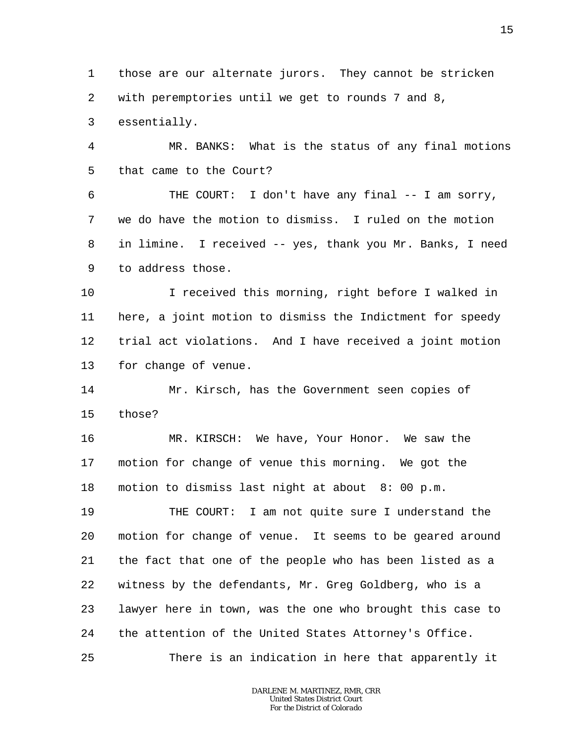1 2 those are our alternate jurors. They cannot be stricken with peremptories until we get to rounds 7 and 8,

3 essentially.

4 5 MR. BANKS: What is the status of any final motions that came to the Court?

6 7 8 9 THE COURT: I don't have any final  $-$  I am sorry, we do have the motion to dismiss. I ruled on the motion in limine. I received -- yes, thank you Mr. Banks, I need to address those.

10 11 12 13 I received this morning, right before I walked in here, a joint motion to dismiss the Indictment for speedy trial act violations. And I have received a joint motion for change of venue.

14 15 Mr. Kirsch, has the Government seen copies of those?

16 17 18 MR. KIRSCH: We have, Your Honor. We saw the motion for change of venue this morning. We got the motion to dismiss last night at about 8: 00 p.m.

19 20 21 22 23 24 25 THE COURT: I am not quite sure I understand the motion for change of venue. It seems to be geared around the fact that one of the people who has been listed as a witness by the defendants, Mr. Greg Goldberg, who is a lawyer here in town, was the one who brought this case to the attention of the United States Attorney's Office.

There is an indication in here that apparently it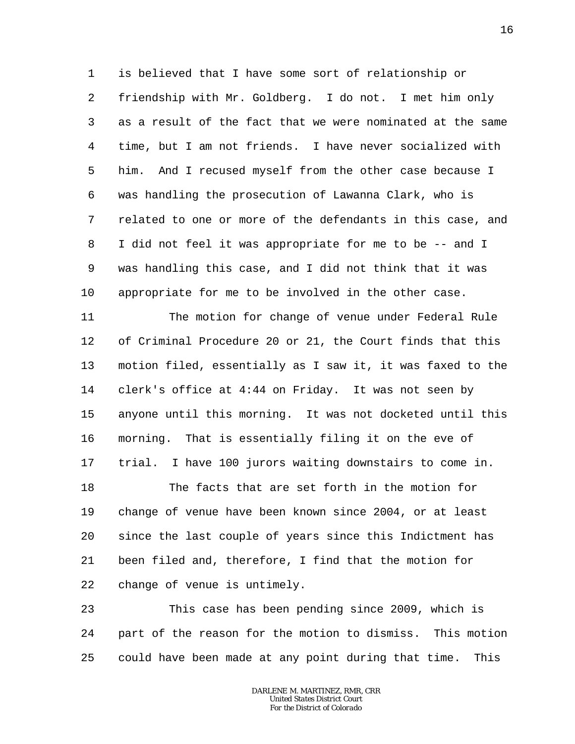1 2 3 4 5 6 7 8 9 10 is believed that I have some sort of relationship or friendship with Mr. Goldberg. I do not. I met him only as a result of the fact that we were nominated at the same time, but I am not friends. I have never socialized with him. And I recused myself from the other case because I was handling the prosecution of Lawanna Clark, who is related to one or more of the defendants in this case, and I did not feel it was appropriate for me to be -- and I was handling this case, and I did not think that it was appropriate for me to be involved in the other case.

11 12 13 14 15 16 17 The motion for change of venue under Federal Rule of Criminal Procedure 20 or 21, the Court finds that this motion filed, essentially as I saw it, it was faxed to the clerk's office at 4:44 on Friday. It was not seen by anyone until this morning. It was not docketed until this morning. That is essentially filing it on the eve of trial. I have 100 jurors waiting downstairs to come in.

18 19 20 21 22 The facts that are set forth in the motion for change of venue have been known since 2004, or at least since the last couple of years since this Indictment has been filed and, therefore, I find that the motion for change of venue is untimely.

23 24 25 This case has been pending since 2009, which is part of the reason for the motion to dismiss. This motion could have been made at any point during that time. This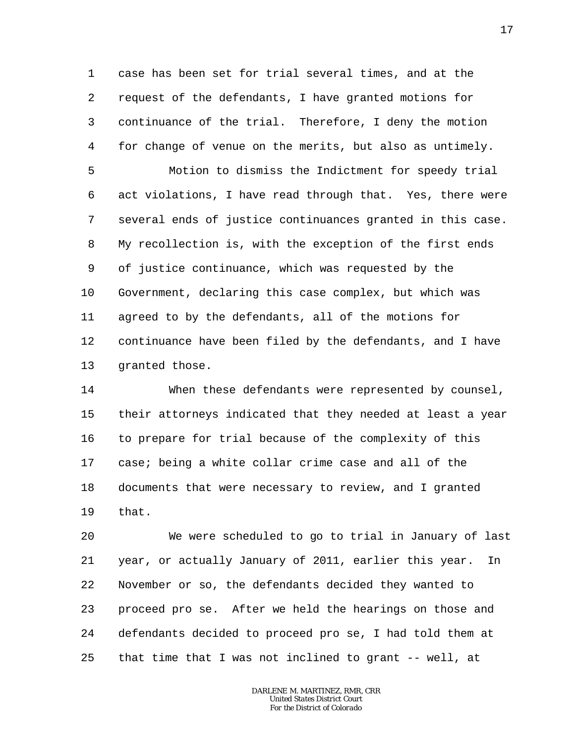1 2 3 4 case has been set for trial several times, and at the request of the defendants, I have granted motions for continuance of the trial. Therefore, I deny the motion for change of venue on the merits, but also as untimely.

5 6 7 8 9 10 11 12 13 Motion to dismiss the Indictment for speedy trial act violations, I have read through that. Yes, there were several ends of justice continuances granted in this case. My recollection is, with the exception of the first ends of justice continuance, which was requested by the Government, declaring this case complex, but which was agreed to by the defendants, all of the motions for continuance have been filed by the defendants, and I have granted those.

14 15 16 17 18 19 When these defendants were represented by counsel, their attorneys indicated that they needed at least a year to prepare for trial because of the complexity of this case; being a white collar crime case and all of the documents that were necessary to review, and I granted that.

20 21 22 23 24 25 We were scheduled to go to trial in January of last year, or actually January of 2011, earlier this year. In November or so, the defendants decided they wanted to proceed pro se. After we held the hearings on those and defendants decided to proceed pro se, I had told them at that time that I was not inclined to grant -- well, at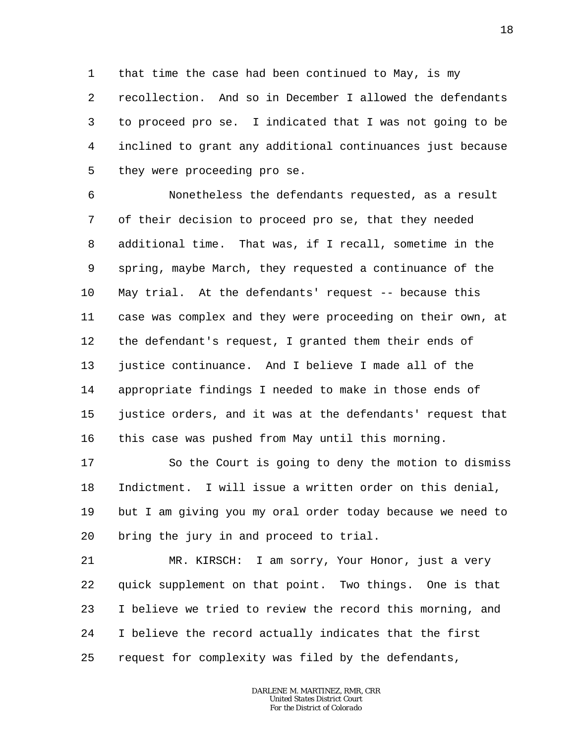1 2 3 4 5 that time the case had been continued to May, is my recollection. And so in December I allowed the defendants to proceed pro se. I indicated that I was not going to be inclined to grant any additional continuances just because they were proceeding pro se.

6 7 8 9 10 11 12 13 14 15 16 Nonetheless the defendants requested, as a result of their decision to proceed pro se, that they needed additional time. That was, if I recall, sometime in the spring, maybe March, they requested a continuance of the May trial. At the defendants' request -- because this case was complex and they were proceeding on their own, at the defendant's request, I granted them their ends of justice continuance. And I believe I made all of the appropriate findings I needed to make in those ends of justice orders, and it was at the defendants' request that this case was pushed from May until this morning.

17 18 19 20 So the Court is going to deny the motion to dismiss Indictment. I will issue a written order on this denial, but I am giving you my oral order today because we need to bring the jury in and proceed to trial.

21 22 23 24 25 MR. KIRSCH: I am sorry, Your Honor, just a very quick supplement on that point. Two things. One is that I believe we tried to review the record this morning, and I believe the record actually indicates that the first request for complexity was filed by the defendants,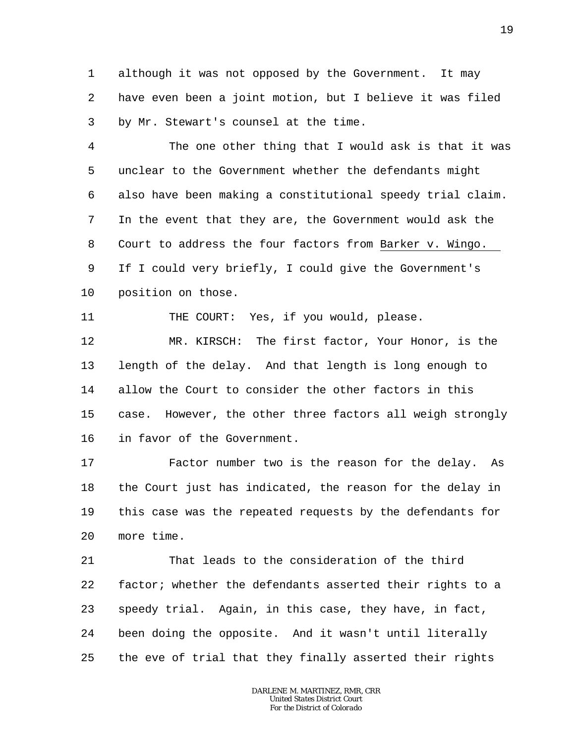1 2 3 although it was not opposed by the Government. It may have even been a joint motion, but I believe it was filed by Mr. Stewart's counsel at the time.

4 5 6 7 8 9 10 The one other thing that I would ask is that it was unclear to the Government whether the defendants might also have been making a constitutional speedy trial claim. In the event that they are, the Government would ask the Court to address the four factors from Barker v. Wingo. If I could very briefly, I could give the Government's position on those.

THE COURT: Yes, if you would, please.

11

12 13 14 15 16 MR. KIRSCH: The first factor, Your Honor, is the length of the delay. And that length is long enough to allow the Court to consider the other factors in this case. However, the other three factors all weigh strongly in favor of the Government.

17 18 19 20 Factor number two is the reason for the delay. As the Court just has indicated, the reason for the delay in this case was the repeated requests by the defendants for more time.

21 22 23 24 25 That leads to the consideration of the third factor; whether the defendants asserted their rights to a speedy trial. Again, in this case, they have, in fact, been doing the opposite. And it wasn't until literally the eve of trial that they finally asserted their rights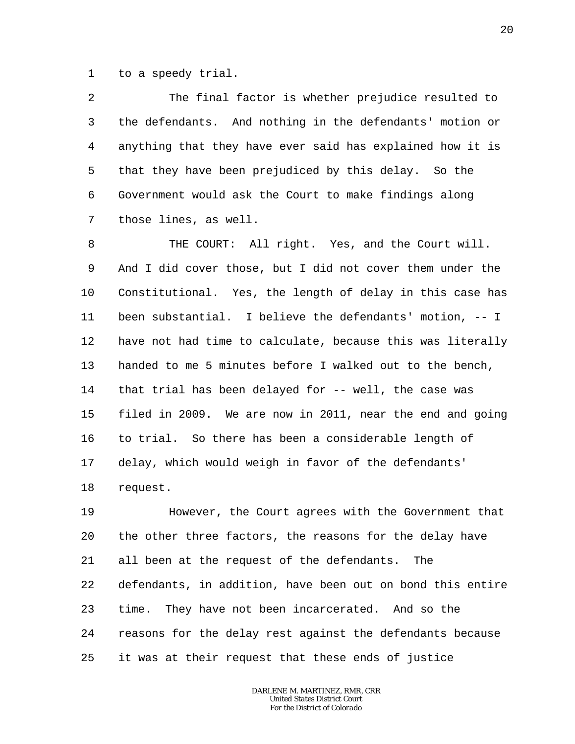1 to a speedy trial.

2 3 4 5 6 7 The final factor is whether prejudice resulted to the defendants. And nothing in the defendants' motion or anything that they have ever said has explained how it is that they have been prejudiced by this delay. So the Government would ask the Court to make findings along those lines, as well.

8 9 10 11 12 13 14 15 16 17 18 THE COURT: All right. Yes, and the Court will. And I did cover those, but I did not cover them under the Constitutional. Yes, the length of delay in this case has been substantial. I believe the defendants' motion, -- I have not had time to calculate, because this was literally handed to me 5 minutes before I walked out to the bench, that trial has been delayed for -- well, the case was filed in 2009. We are now in 2011, near the end and going to trial. So there has been a considerable length of delay, which would weigh in favor of the defendants' request.

19 20 21 22 23 24 25 However, the Court agrees with the Government that the other three factors, the reasons for the delay have all been at the request of the defendants. The defendants, in addition, have been out on bond this entire time. They have not been incarcerated. And so the reasons for the delay rest against the defendants because it was at their request that these ends of justice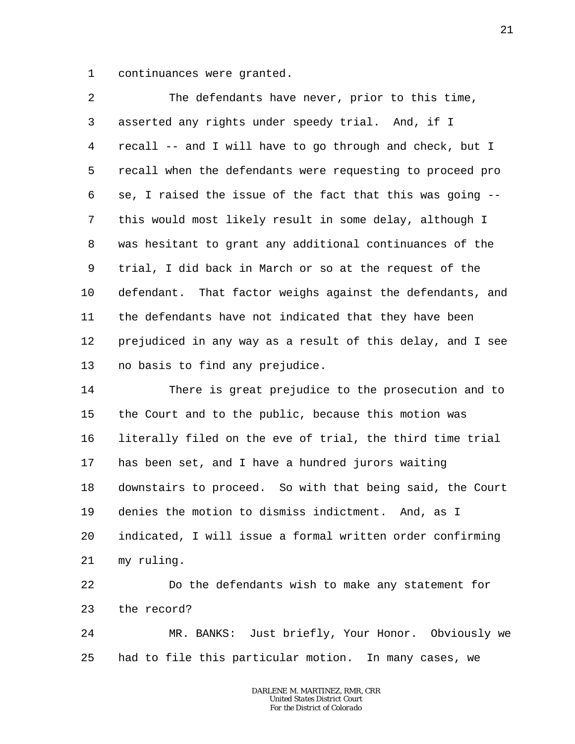1 continuances were granted.

2 3 4 5 6 7 8 9 10 11 12 13 The defendants have never, prior to this time, asserted any rights under speedy trial. And, if I recall -- and I will have to go through and check, but I recall when the defendants were requesting to proceed pro se, I raised the issue of the fact that this was going - this would most likely result in some delay, although I was hesitant to grant any additional continuances of the trial, I did back in March or so at the request of the defendant. That factor weighs against the defendants, and the defendants have not indicated that they have been prejudiced in any way as a result of this delay, and I see no basis to find any prejudice.

14 15 16 17 18 19 20 21 There is great prejudice to the prosecution and to the Court and to the public, because this motion was literally filed on the eve of trial, the third time trial has been set, and I have a hundred jurors waiting downstairs to proceed. So with that being said, the Court denies the motion to dismiss indictment. And, as I indicated, I will issue a formal written order confirming my ruling.

22 23 Do the defendants wish to make any statement for the record?

24 25 MR. BANKS: Just briefly, Your Honor. Obviously we had to file this particular motion. In many cases, we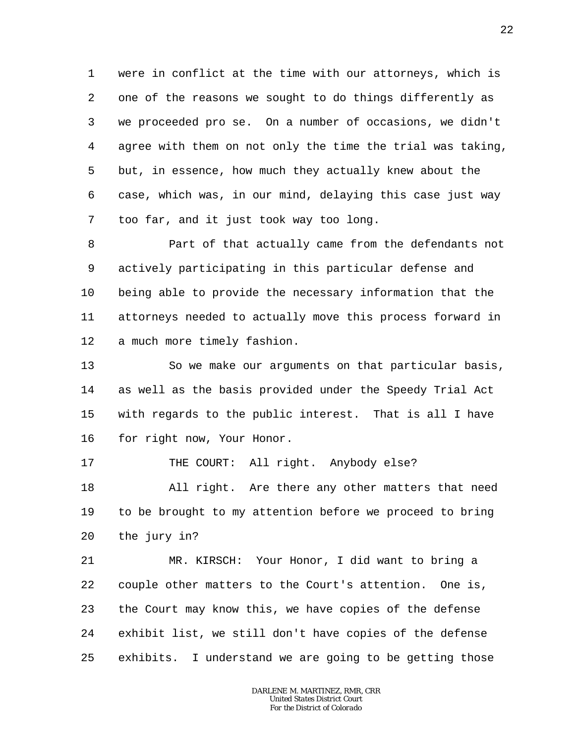1 2 3 4 5 6 7 were in conflict at the time with our attorneys, which is one of the reasons we sought to do things differently as we proceeded pro se. On a number of occasions, we didn't agree with them on not only the time the trial was taking, but, in essence, how much they actually knew about the case, which was, in our mind, delaying this case just way too far, and it just took way too long.

8 9 10 11 12 Part of that actually came from the defendants not actively participating in this particular defense and being able to provide the necessary information that the attorneys needed to actually move this process forward in a much more timely fashion.

13 14 15 16 So we make our arguments on that particular basis, as well as the basis provided under the Speedy Trial Act with regards to the public interest. That is all I have for right now, Your Honor.

17 THE COURT: All right. Anybody else?

18 19 20 All right. Are there any other matters that need to be brought to my attention before we proceed to bring the jury in?

21 22 23 24 25 MR. KIRSCH: Your Honor, I did want to bring a couple other matters to the Court's attention. One is, the Court may know this, we have copies of the defense exhibit list, we still don't have copies of the defense exhibits. I understand we are going to be getting those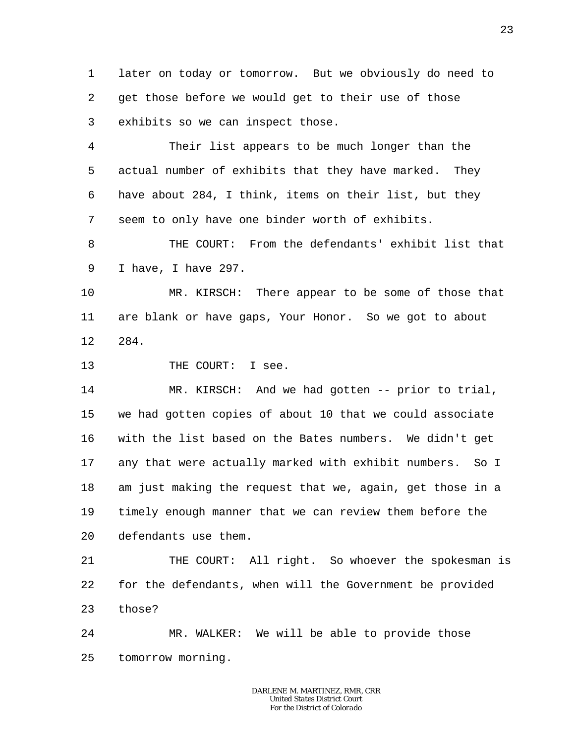1 2 3 later on today or tomorrow. But we obviously do need to get those before we would get to their use of those exhibits so we can inspect those.

4 5 6 7 Their list appears to be much longer than the actual number of exhibits that they have marked. They have about 284, I think, items on their list, but they seem to only have one binder worth of exhibits.

8 9 THE COURT: From the defendants' exhibit list that I have, I have 297.

10 11 12 MR. KIRSCH: There appear to be some of those that are blank or have gaps, Your Honor. So we got to about 284.

## 13 THE COURT: I see.

14 15 16 17 18 19 20 MR. KIRSCH: And we had gotten -- prior to trial, we had gotten copies of about 10 that we could associate with the list based on the Bates numbers. We didn't get any that were actually marked with exhibit numbers. So I am just making the request that we, again, get those in a timely enough manner that we can review them before the defendants use them.

21 22 23 THE COURT: All right. So whoever the spokesman is for the defendants, when will the Government be provided those?

24 25 MR. WALKER: We will be able to provide those tomorrow morning.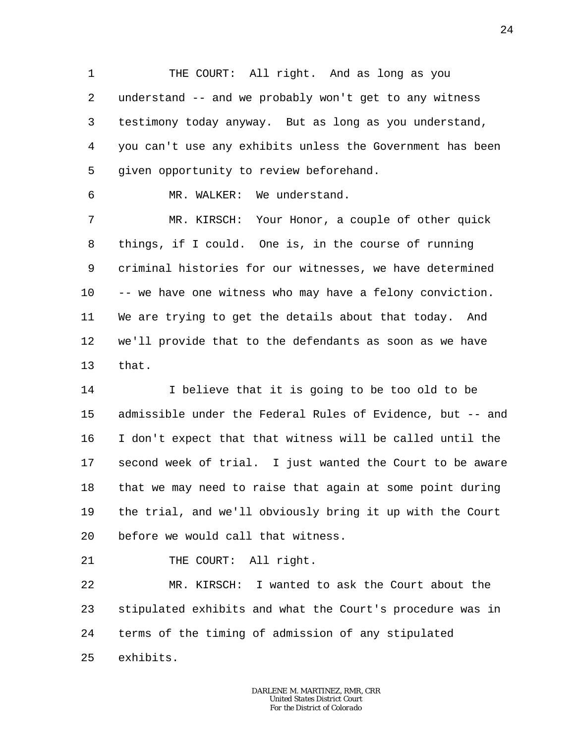1 2 3 4 5 THE COURT: All right. And as long as you understand -- and we probably won't get to any witness testimony today anyway. But as long as you understand, you can't use any exhibits unless the Government has been given opportunity to review beforehand.

MR. WALKER: We understand.

6

7 8 9 10 11 12 13 MR. KIRSCH: Your Honor, a couple of other quick things, if I could. One is, in the course of running criminal histories for our witnesses, we have determined -- we have one witness who may have a felony conviction. We are trying to get the details about that today. And we'll provide that to the defendants as soon as we have that.

14 15 16 17 18 19 20 I believe that it is going to be too old to be admissible under the Federal Rules of Evidence, but -- and I don't expect that that witness will be called until the second week of trial. I just wanted the Court to be aware that we may need to raise that again at some point during the trial, and we'll obviously bring it up with the Court before we would call that witness.

21 THE COURT: All right.

22 23 24 25 MR. KIRSCH: I wanted to ask the Court about the stipulated exhibits and what the Court's procedure was in terms of the timing of admission of any stipulated exhibits.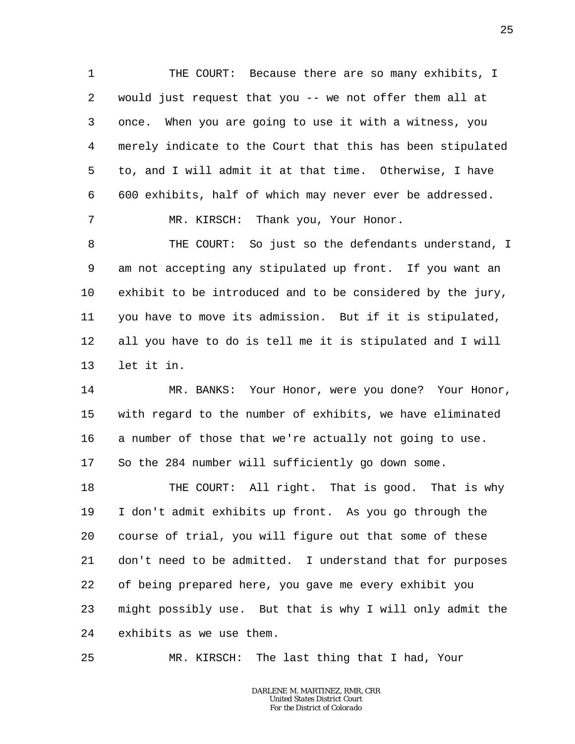1 2 3 4 5 6 7 THE COURT: Because there are so many exhibits, I would just request that you -- we not offer them all at once. When you are going to use it with a witness, you merely indicate to the Court that this has been stipulated to, and I will admit it at that time. Otherwise, I have 600 exhibits, half of which may never ever be addressed. MR. KIRSCH: Thank you, Your Honor.

8 9 10 11 12 13 THE COURT: So just so the defendants understand, I am not accepting any stipulated up front. If you want an exhibit to be introduced and to be considered by the jury, you have to move its admission. But if it is stipulated, all you have to do is tell me it is stipulated and I will let it in.

14 15 16 17 MR. BANKS: Your Honor, were you done? Your Honor, with regard to the number of exhibits, we have eliminated a number of those that we're actually not going to use. So the 284 number will sufficiently go down some.

18 19 20 21 22 23 24 THE COURT: All right. That is good. That is why I don't admit exhibits up front. As you go through the course of trial, you will figure out that some of these don't need to be admitted. I understand that for purposes of being prepared here, you gave me every exhibit you might possibly use. But that is why I will only admit the exhibits as we use them.

25 MR. KIRSCH: The last thing that I had, Your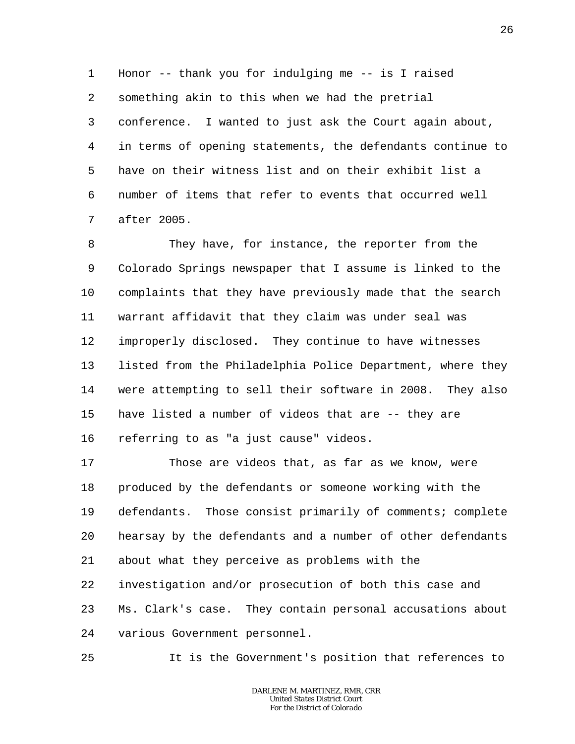1 2 3 4 5 6 7 Honor -- thank you for indulging me -- is I raised something akin to this when we had the pretrial conference. I wanted to just ask the Court again about, in terms of opening statements, the defendants continue to have on their witness list and on their exhibit list a number of items that refer to events that occurred well after 2005.

8 9 10 11 12 13 14 15 16 They have, for instance, the reporter from the Colorado Springs newspaper that I assume is linked to the complaints that they have previously made that the search warrant affidavit that they claim was under seal was improperly disclosed. They continue to have witnesses listed from the Philadelphia Police Department, where they were attempting to sell their software in 2008. They also have listed a number of videos that are -- they are referring to as "a just cause" videos.

17 18 19 20 21 22 23 24 Those are videos that, as far as we know, were produced by the defendants or someone working with the defendants. Those consist primarily of comments; complete hearsay by the defendants and a number of other defendants about what they perceive as problems with the investigation and/or prosecution of both this case and Ms. Clark's case. They contain personal accusations about various Government personnel.

It is the Government's position that references to

25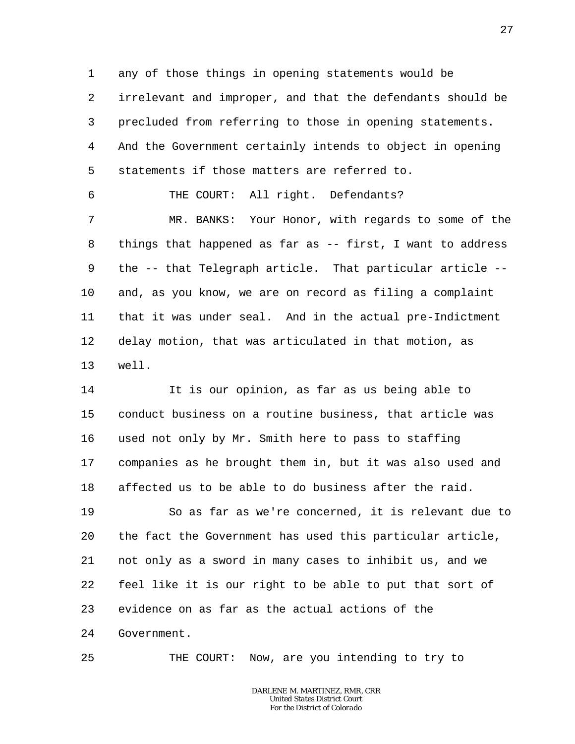1 2 3 4 5 any of those things in opening statements would be irrelevant and improper, and that the defendants should be precluded from referring to those in opening statements. And the Government certainly intends to object in opening statements if those matters are referred to.

THE COURT: All right. Defendants?

6

25

7 8 9 10 11 12 13 MR. BANKS: Your Honor, with regards to some of the things that happened as far as -- first, I want to address the -- that Telegraph article. That particular article - and, as you know, we are on record as filing a complaint that it was under seal. And in the actual pre-Indictment delay motion, that was articulated in that motion, as well.

14 15 16 17 18 It is our opinion, as far as us being able to conduct business on a routine business, that article was used not only by Mr. Smith here to pass to staffing companies as he brought them in, but it was also used and affected us to be able to do business after the raid.

19 20 21 22 23 24 So as far as we're concerned, it is relevant due to the fact the Government has used this particular article, not only as a sword in many cases to inhibit us, and we feel like it is our right to be able to put that sort of evidence on as far as the actual actions of the Government.

THE COURT: Now, are you intending to try to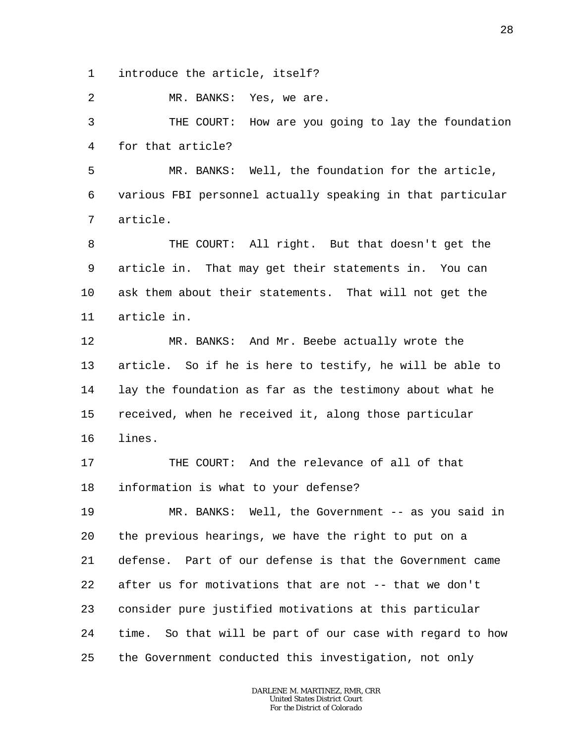1 introduce the article, itself?

2 MR. BANKS: Yes, we are.

3 4 THE COURT: How are you going to lay the foundation for that article?

5 6 7 MR. BANKS: Well, the foundation for the article, various FBI personnel actually speaking in that particular article.

8 9 10 11 THE COURT: All right. But that doesn't get the article in. That may get their statements in. You can ask them about their statements. That will not get the article in.

12 13 14 15 16 MR. BANKS: And Mr. Beebe actually wrote the article. So if he is here to testify, he will be able to lay the foundation as far as the testimony about what he received, when he received it, along those particular lines.

17 18 THE COURT: And the relevance of all of that information is what to your defense?

19 20 21 22 23 24 25 MR. BANKS: Well, the Government -- as you said in the previous hearings, we have the right to put on a defense. Part of our defense is that the Government came after us for motivations that are not -- that we don't consider pure justified motivations at this particular time. So that will be part of our case with regard to how the Government conducted this investigation, not only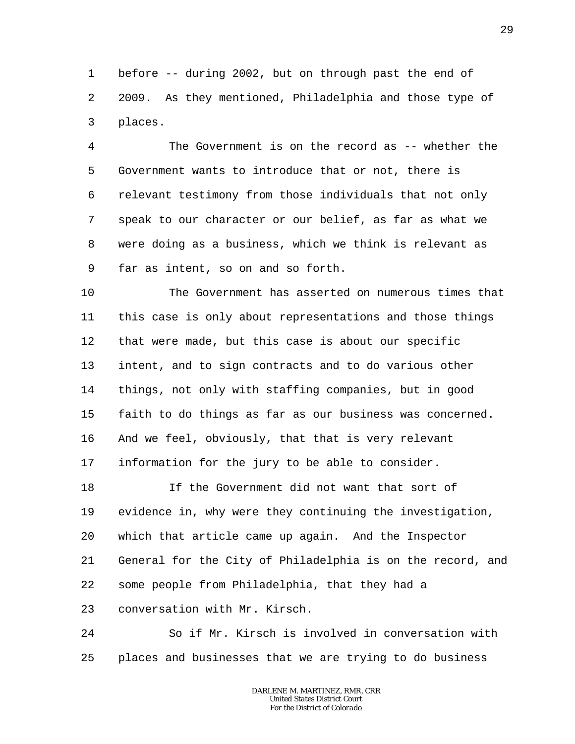1 2 3 before -- during 2002, but on through past the end of 2009. As they mentioned, Philadelphia and those type of places.

4 5 6 7 8 9 The Government is on the record as -- whether the Government wants to introduce that or not, there is relevant testimony from those individuals that not only speak to our character or our belief, as far as what we were doing as a business, which we think is relevant as far as intent, so on and so forth.

10 11 12 13 14 15 16 17 The Government has asserted on numerous times that this case is only about representations and those things that were made, but this case is about our specific intent, and to sign contracts and to do various other things, not only with staffing companies, but in good faith to do things as far as our business was concerned. And we feel, obviously, that that is very relevant information for the jury to be able to consider.

18 19 20 21 22 23 If the Government did not want that sort of evidence in, why were they continuing the investigation, which that article came up again. And the Inspector General for the City of Philadelphia is on the record, and some people from Philadelphia, that they had a conversation with Mr. Kirsch.

24 25 So if Mr. Kirsch is involved in conversation with places and businesses that we are trying to do business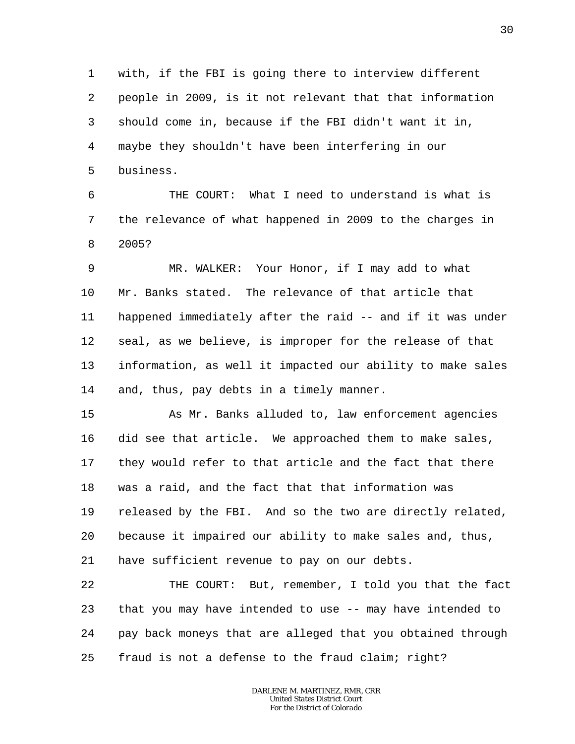1 2 3 4 5 with, if the FBI is going there to interview different people in 2009, is it not relevant that that information should come in, because if the FBI didn't want it in, maybe they shouldn't have been interfering in our business.

6 7 8 THE COURT: What I need to understand is what is the relevance of what happened in 2009 to the charges in 2005?

9 10 11 12 13 14 MR. WALKER: Your Honor, if I may add to what Mr. Banks stated. The relevance of that article that happened immediately after the raid -- and if it was under seal, as we believe, is improper for the release of that information, as well it impacted our ability to make sales and, thus, pay debts in a timely manner.

15 16 17 18 19 20 21 As Mr. Banks alluded to, law enforcement agencies did see that article. We approached them to make sales, they would refer to that article and the fact that there was a raid, and the fact that that information was released by the FBI. And so the two are directly related, because it impaired our ability to make sales and, thus, have sufficient revenue to pay on our debts.

22 23 24 25 THE COURT: But, remember, I told you that the fact that you may have intended to use -- may have intended to pay back moneys that are alleged that you obtained through fraud is not a defense to the fraud claim; right?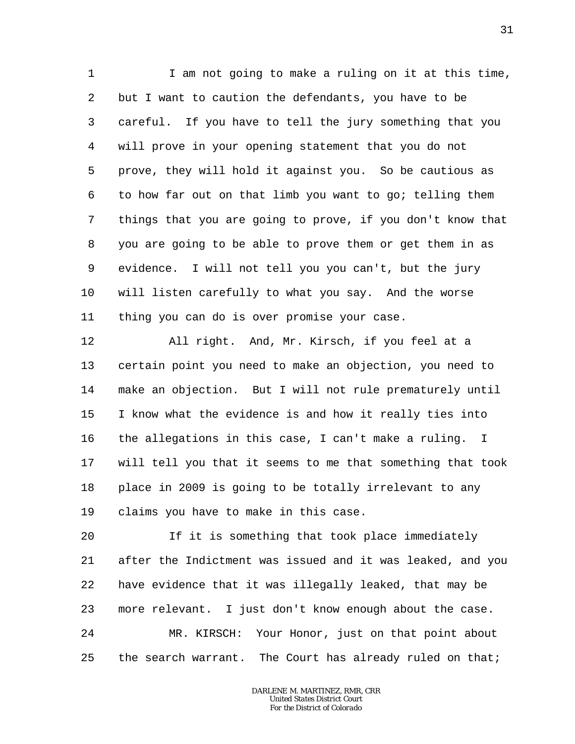1 2 3 4 5 6 7 8 9 10 11 I am not going to make a ruling on it at this time, but I want to caution the defendants, you have to be careful. If you have to tell the jury something that you will prove in your opening statement that you do not prove, they will hold it against you. So be cautious as to how far out on that limb you want to go; telling them things that you are going to prove, if you don't know that you are going to be able to prove them or get them in as evidence. I will not tell you you can't, but the jury will listen carefully to what you say. And the worse thing you can do is over promise your case.

12 13 14 15 16 17 18 19 All right. And, Mr. Kirsch, if you feel at a certain point you need to make an objection, you need to make an objection. But I will not rule prematurely until I know what the evidence is and how it really ties into the allegations in this case, I can't make a ruling. I will tell you that it seems to me that something that took place in 2009 is going to be totally irrelevant to any claims you have to make in this case.

20 21 22 23 24 25 If it is something that took place immediately after the Indictment was issued and it was leaked, and you have evidence that it was illegally leaked, that may be more relevant. I just don't know enough about the case. MR. KIRSCH: Your Honor, just on that point about the search warrant. The Court has already ruled on that;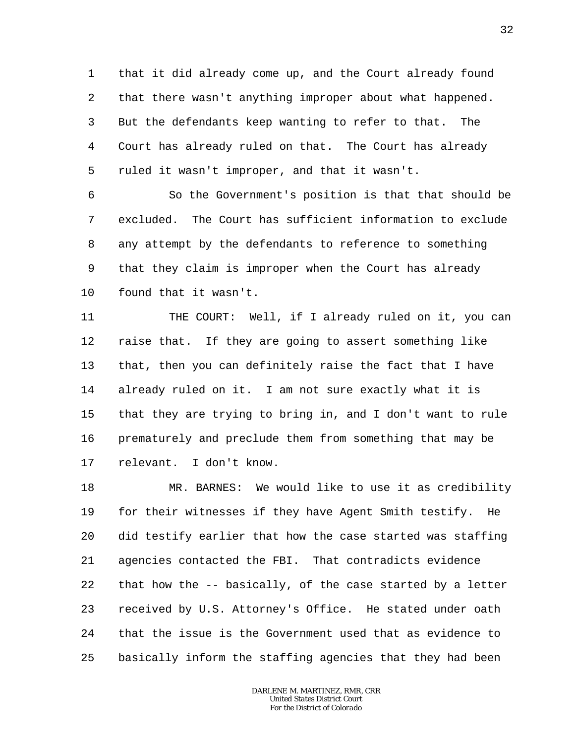1 2 3 4 5 that it did already come up, and the Court already found that there wasn't anything improper about what happened. But the defendants keep wanting to refer to that. The Court has already ruled on that. The Court has already ruled it wasn't improper, and that it wasn't.

6 7 8 9 10 So the Government's position is that that should be excluded. The Court has sufficient information to exclude any attempt by the defendants to reference to something that they claim is improper when the Court has already found that it wasn't.

11 12 13 14 15 16 17 THE COURT: Well, if I already ruled on it, you can raise that. If they are going to assert something like that, then you can definitely raise the fact that I have already ruled on it. I am not sure exactly what it is that they are trying to bring in, and I don't want to rule prematurely and preclude them from something that may be relevant. I don't know.

18 19 20 21 22 23 24 25 MR. BARNES: We would like to use it as credibility for their witnesses if they have Agent Smith testify. He did testify earlier that how the case started was staffing agencies contacted the FBI. That contradicts evidence that how the -- basically, of the case started by a letter received by U.S. Attorney's Office. He stated under oath that the issue is the Government used that as evidence to basically inform the staffing agencies that they had been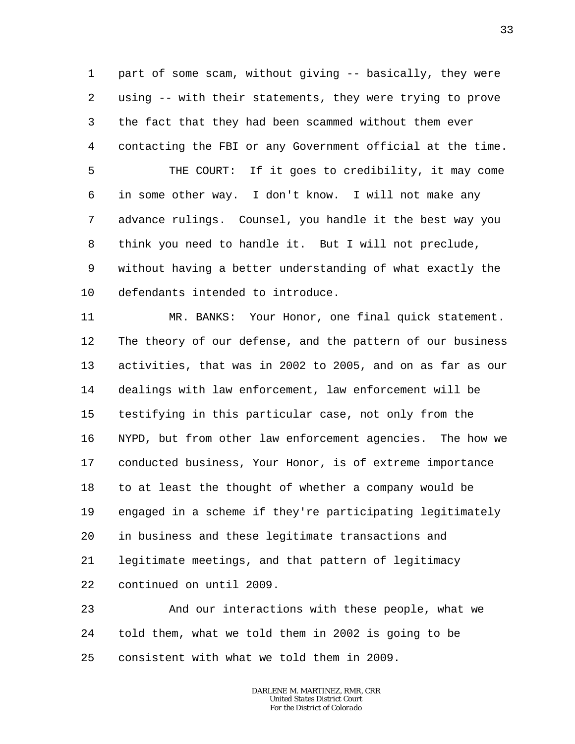1 2 3 4 5 6 7 part of some scam, without giving -- basically, they were using -- with their statements, they were trying to prove the fact that they had been scammed without them ever contacting the FBI or any Government official at the time. THE COURT: If it goes to credibility, it may come in some other way. I don't know. I will not make any advance rulings. Counsel, you handle it the best way you

8 9 10 think you need to handle it. But I will not preclude, without having a better understanding of what exactly the defendants intended to introduce.

11 12 13 14 15 16 17 18 19 20 21 22 MR. BANKS: Your Honor, one final quick statement. The theory of our defense, and the pattern of our business activities, that was in 2002 to 2005, and on as far as our dealings with law enforcement, law enforcement will be testifying in this particular case, not only from the NYPD, but from other law enforcement agencies. The how we conducted business, Your Honor, is of extreme importance to at least the thought of whether a company would be engaged in a scheme if they're participating legitimately in business and these legitimate transactions and legitimate meetings, and that pattern of legitimacy continued on until 2009.

23 24 25 And our interactions with these people, what we told them, what we told them in 2002 is going to be consistent with what we told them in 2009.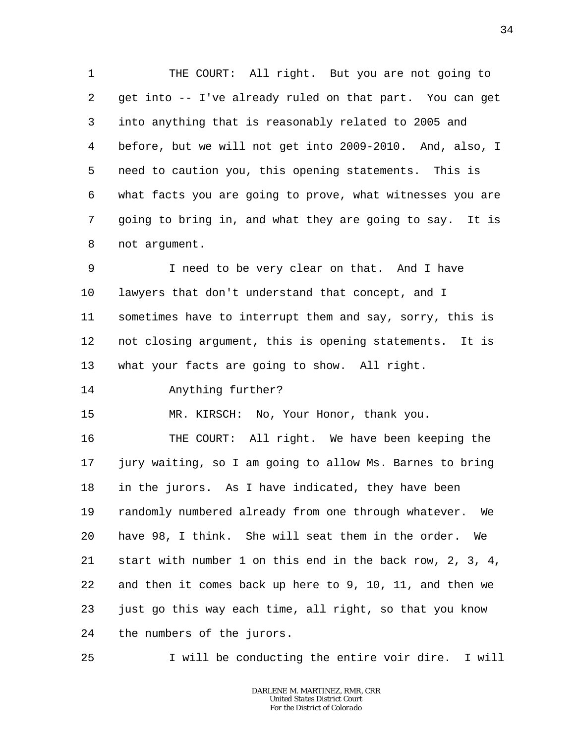1 2 3 4 5 6 7 8 THE COURT: All right. But you are not going to get into -- I've already ruled on that part. You can get into anything that is reasonably related to 2005 and before, but we will not get into 2009-2010. And, also, I need to caution you, this opening statements. This is what facts you are going to prove, what witnesses you are going to bring in, and what they are going to say. It is not argument.

9 10 11 12 13 I need to be very clear on that. And I have lawyers that don't understand that concept, and I sometimes have to interrupt them and say, sorry, this is not closing argument, this is opening statements. It is what your facts are going to show. All right.

14 Anything further?

25

15 MR. KIRSCH: No, Your Honor, thank you.

16 17 18 19 20 21 22 23 24 THE COURT: All right. We have been keeping the jury waiting, so I am going to allow Ms. Barnes to bring in the jurors. As I have indicated, they have been randomly numbered already from one through whatever. We have 98, I think. She will seat them in the order. We start with number 1 on this end in the back row, 2, 3, 4, and then it comes back up here to 9, 10, 11, and then we just go this way each time, all right, so that you know the numbers of the jurors.

I will be conducting the entire voir dire. I will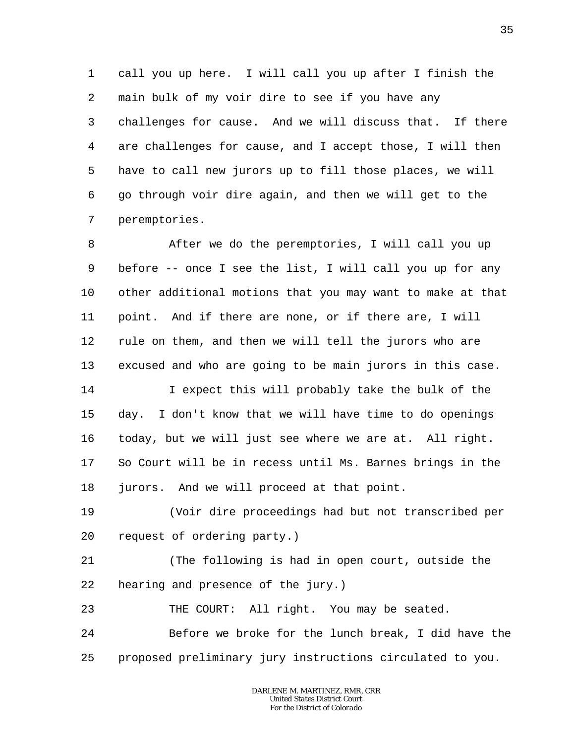1 2 3 4 5 6 7 call you up here. I will call you up after I finish the main bulk of my voir dire to see if you have any challenges for cause. And we will discuss that. If there are challenges for cause, and I accept those, I will then have to call new jurors up to fill those places, we will go through voir dire again, and then we will get to the peremptories.

8 9 10 11 12 13 14 15 16 17 After we do the peremptories, I will call you up before -- once I see the list, I will call you up for any other additional motions that you may want to make at that point. And if there are none, or if there are, I will rule on them, and then we will tell the jurors who are excused and who are going to be main jurors in this case. I expect this will probably take the bulk of the day. I don't know that we will have time to do openings today, but we will just see where we are at. All right. So Court will be in recess until Ms. Barnes brings in the

18 jurors. And we will proceed at that point.

19 20 (Voir dire proceedings had but not transcribed per request of ordering party.)

21 22 (The following is had in open court, outside the hearing and presence of the jury.)

23 THE COURT: All right. You may be seated.

24 25 Before we broke for the lunch break, I did have the proposed preliminary jury instructions circulated to you.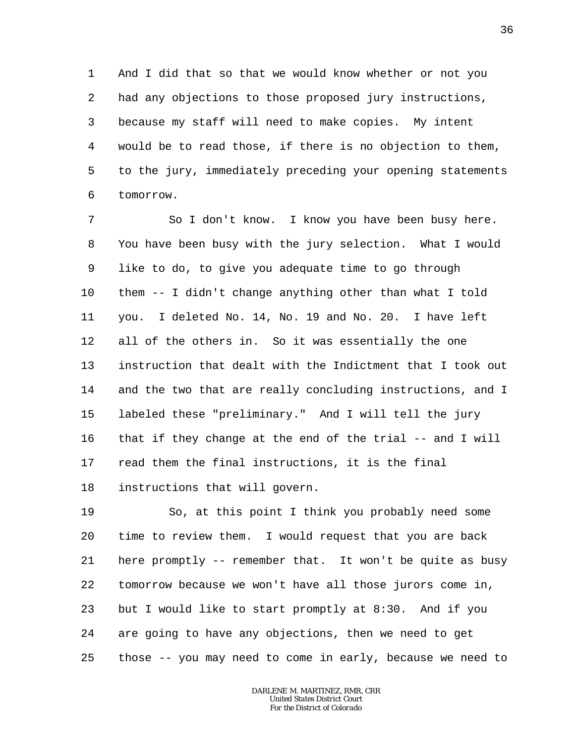1 2 3 4 5 6 And I did that so that we would know whether or not you had any objections to those proposed jury instructions, because my staff will need to make copies. My intent would be to read those, if there is no objection to them, to the jury, immediately preceding your opening statements tomorrow.

7 8 9 10 11 12 13 14 15 16 17 18 So I don't know. I know you have been busy here. You have been busy with the jury selection. What I would like to do, to give you adequate time to go through them -- I didn't change anything other than what I told you. I deleted No. 14, No. 19 and No. 20. I have left all of the others in. So it was essentially the one instruction that dealt with the Indictment that I took out and the two that are really concluding instructions, and I labeled these "preliminary." And I will tell the jury that if they change at the end of the trial -- and I will read them the final instructions, it is the final instructions that will govern.

19 20 21 22 23 24 25 So, at this point I think you probably need some time to review them. I would request that you are back here promptly -- remember that. It won't be quite as busy tomorrow because we won't have all those jurors come in, but I would like to start promptly at 8:30. And if you are going to have any objections, then we need to get those -- you may need to come in early, because we need to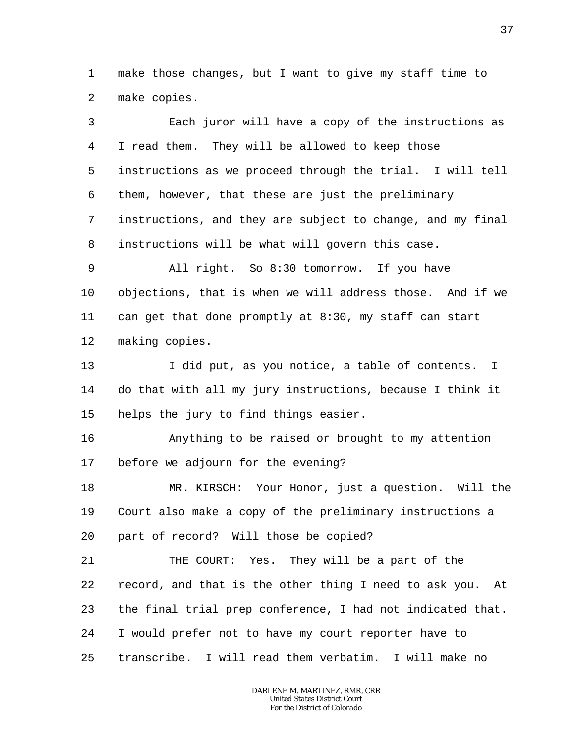1 2 make those changes, but I want to give my staff time to make copies.

3 4 5 6 7 8 9 10 11 12 13 14 15 16 17 18 19 20 21 22 23 24 25 Each juror will have a copy of the instructions as I read them. They will be allowed to keep those instructions as we proceed through the trial. I will tell them, however, that these are just the preliminary instructions, and they are subject to change, and my final instructions will be what will govern this case. All right. So 8:30 tomorrow. If you have objections, that is when we will address those. And if we can get that done promptly at 8:30, my staff can start making copies. I did put, as you notice, a table of contents. I do that with all my jury instructions, because I think it helps the jury to find things easier. Anything to be raised or brought to my attention before we adjourn for the evening? MR. KIRSCH: Your Honor, just a question. Will the Court also make a copy of the preliminary instructions a part of record? Will those be copied? THE COURT: Yes. They will be a part of the record, and that is the other thing I need to ask you. At the final trial prep conference, I had not indicated that. I would prefer not to have my court reporter have to transcribe. I will read them verbatim. I will make no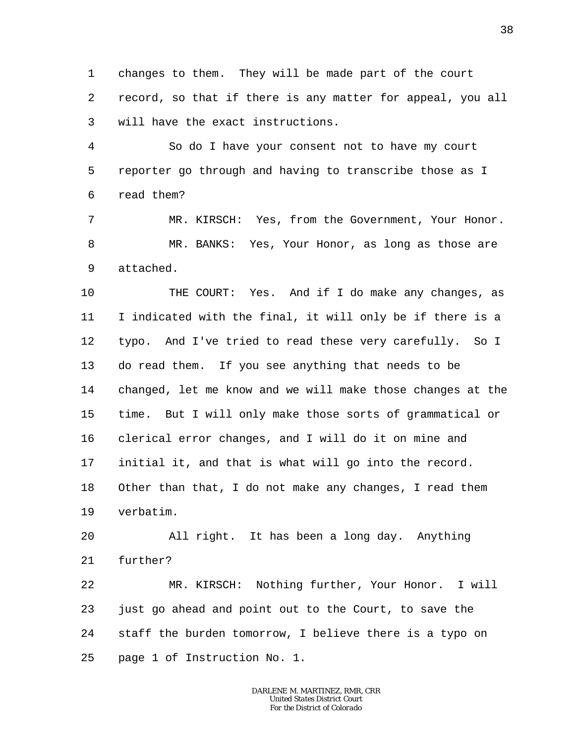1 2 3 changes to them. They will be made part of the court record, so that if there is any matter for appeal, you all will have the exact instructions.

4 5 6 So do I have your consent not to have my court reporter go through and having to transcribe those as I read them?

7 8 9 MR. KIRSCH: Yes, from the Government, Your Honor. MR. BANKS: Yes, Your Honor, as long as those are attached.

10 11 12 13 14 15 16 17 18 19 THE COURT: Yes. And if I do make any changes, as I indicated with the final, it will only be if there is a typo. And I've tried to read these very carefully. So I do read them. If you see anything that needs to be changed, let me know and we will make those changes at the time. But I will only make those sorts of grammatical or clerical error changes, and I will do it on mine and initial it, and that is what will go into the record. Other than that, I do not make any changes, I read them verbatim.

20 21 All right. It has been a long day. Anything further?

22 23 24 25 MR. KIRSCH: Nothing further, Your Honor. I will just go ahead and point out to the Court, to save the staff the burden tomorrow, I believe there is a typo on page 1 of Instruction No. 1.